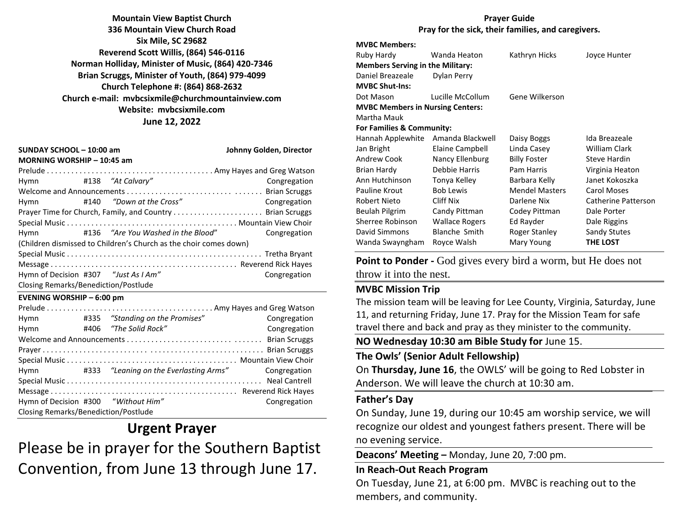**Mountain View Baptist Church 336 Mountain View Church Road Six Mile, SC 29682 Reverend Scott Willis, (864) 546-0116 Norman Holliday, Minister of Music, (864) 420-7346 Brian Scruggs, Minister of Youth, (864) 979-4099 Church Telephone #: (864) 868-2632 Church e-mail: [mvbcsixmile@churchmountainview.com](mailto:mvbcsixmile@churchmountainview.com) Website: mvbcsixmile.com June 12, 2022**

| SUNDAY SCHOOL - 10:00 am<br>MORNING WORSHIP - 10:45 am            |  | Johnny Golden, Director            |              |  |  |
|-------------------------------------------------------------------|--|------------------------------------|--------------|--|--|
|                                                                   |  |                                    |              |  |  |
| Hymn #138 "At Calvary"                                            |  |                                    | Congregation |  |  |
|                                                                   |  |                                    |              |  |  |
| Hymn                                                              |  | #140 "Down at the Cross"           | Congregation |  |  |
| Prayer Time for Church, Family, and Country  Brian Scruggs        |  |                                    |              |  |  |
|                                                                   |  |                                    |              |  |  |
| Hymn                                                              |  | #136 "Are You Washed in the Blood" | Congregation |  |  |
| (Children dismissed to Children's Church as the choir comes down) |  |                                    |              |  |  |
|                                                                   |  |                                    |              |  |  |
|                                                                   |  |                                    |              |  |  |
| Hymn of Decision #307 "Just As I Am"                              |  |                                    | Congregation |  |  |
| Closing Remarks/Benediction/Postlude                              |  |                                    |              |  |  |

#### **EVENING WORSHIP – 6:00 pm**

| Hymn                                 |  | #335 "Standing on the Promises"             | Congregation |  |
|--------------------------------------|--|---------------------------------------------|--------------|--|
| Hymn                                 |  | #406 "The Solid Rock"                       | Congregation |  |
|                                      |  |                                             |              |  |
|                                      |  |                                             |              |  |
|                                      |  |                                             |              |  |
|                                      |  | Hymn #333 "Leaning on the Everlasting Arms" | Congregation |  |
|                                      |  |                                             |              |  |
|                                      |  |                                             |              |  |
| Hymn of Decision #300 "Without Him"  |  |                                             | Congregation |  |
| Closing Remarks/Benediction/Postlude |  |                                             |              |  |

## **Urgent Prayer**

Please be in prayer for the Southern Baptist Convention, from June 13 through June 17.

#### **Prayer Guide Pray for the sick, their families, and caregivers.**

## **MVBC Members:**

| Ruby Hardy                              | Wanda Heaton           | Kathryn Hicks         | Joyce Hunter        |
|-----------------------------------------|------------------------|-----------------------|---------------------|
| <b>Members Serving in the Military:</b> |                        |                       |                     |
| Daniel Breazeale                        | Dylan Perry            |                       |                     |
| <b>MVBC Shut-Ins:</b>                   |                        |                       |                     |
| Dot Mason                               | Lucille McCollum       | Gene Wilkerson        |                     |
| <b>MVBC Members in Nursing Centers:</b> |                        |                       |                     |
| Martha Mauk                             |                        |                       |                     |
| For Families & Community:               |                        |                       |                     |
| Hannah Applewhite                       | Amanda Blackwell       | Daisy Boggs           | Ida Breazeale       |
| Jan Bright                              | Elaine Campbell        | Linda Casey           | William Clark       |
| Andrew Cook                             | <b>Nancy Ellenburg</b> | <b>Billy Foster</b>   | Steve Hardin        |
| Brian Hardy                             | Debbie Harris          | Pam Harris            | Virginia Heaton     |
| Ann Hutchinson                          | Tonya Kelley           | Barbara Kelly         | Janet Kokoszka      |
| Pauline Krout                           | <b>Bob Lewis</b>       | <b>Mendel Masters</b> | <b>Carol Moses</b>  |
| Robert Nieto                            | Cliff Nix              | Darlene Nix           | Catherine Patterson |
| Beulah Pilgrim                          | Candy Pittman          | Codey Pittman         | Dale Porter         |
| Sherree Robinson                        | <b>Wallace Rogers</b>  | Ed Rayder             | Dale Riggins        |
| David Simmons                           | <b>Blanche Smith</b>   | Roger Stanley         | Sandy Stutes        |
| Wanda Swayngham                         | Royce Walsh            | Mary Young            | <b>THE LOST</b>     |
|                                         |                        |                       |                     |

**Point to Ponder -** God gives every bird a worm, but He does not throw it into the nest.

#### **MVBC Mission Trip**

The mission team will be leaving for Lee County, Virginia, Saturday, June 11, and returning Friday, June 17. Pray for the Mission Team for safe travel there and back and pray as they minister to the community.

**NO Wednesday 10:30 am Bible Study for** June 15.

#### **The Owls' (Senior Adult Fellowship)**

On **Thursday, June 16**, the OWLS' will be going to Red Lobster in Anderson. We will leave the church at 10:30 am.

#### **Father's Day**

On Sunday, June 19, during our 10:45 am worship service, we will recognize our oldest and youngest fathers present. There will be no evening service.

**Deacons' Meeting –** Monday, June 20, 7:00 pm.

#### **In Reach-Out Reach Program**

On Tuesday, June 21, at 6:00 pm. MVBC is reaching out to the members, and community.